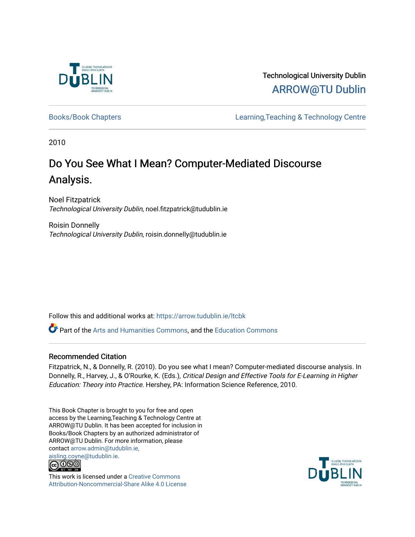

# Technological University Dublin [ARROW@TU Dublin](https://arrow.tudublin.ie/)

[Books/Book Chapters](https://arrow.tudublin.ie/ltcbk) [Learning,Teaching & Technology Centre](https://arrow.tudublin.ie/ltc) 

2010

# Do You See What I Mean? Computer-Mediated Discourse Analysis.

Noel Fitzpatrick Technological University Dublin, noel.fitzpatrick@tudublin.ie

Roisin Donnelly Technological University Dublin, roisin.donnelly@tudublin.ie

Follow this and additional works at: [https://arrow.tudublin.ie/ltcbk](https://arrow.tudublin.ie/ltcbk?utm_source=arrow.tudublin.ie%2Fltcbk%2F24&utm_medium=PDF&utm_campaign=PDFCoverPages) 

Part of the [Arts and Humanities Commons,](http://network.bepress.com/hgg/discipline/438?utm_source=arrow.tudublin.ie%2Fltcbk%2F24&utm_medium=PDF&utm_campaign=PDFCoverPages) and the [Education Commons](http://network.bepress.com/hgg/discipline/784?utm_source=arrow.tudublin.ie%2Fltcbk%2F24&utm_medium=PDF&utm_campaign=PDFCoverPages) 

## Recommended Citation

Fitzpatrick, N., & Donnelly, R. (2010). Do you see what I mean? Computer-mediated discourse analysis. In Donnelly, R., Harvey, J., & O'Rourke, K. (Eds.), Critical Design and Effective Tools for E-Learning in Higher Education: Theory into Practice. Hershey, PA: Information Science Reference, 2010.

This Book Chapter is brought to you for free and open access by the Learning,Teaching & Technology Centre at ARROW@TU Dublin. It has been accepted for inclusion in Books/Book Chapters by an authorized administrator of ARROW@TU Dublin. For more information, please contact [arrow.admin@tudublin.ie,](mailto:arrow.admin@tudublin.ie,%20aisling.coyne@tudublin.ie)  [aisling.coyne@tudublin.ie.](mailto:arrow.admin@tudublin.ie,%20aisling.coyne@tudublin.ie)



This work is licensed under a [Creative Commons](http://creativecommons.org/licenses/by-nc-sa/4.0/) [Attribution-Noncommercial-Share Alike 4.0 License](http://creativecommons.org/licenses/by-nc-sa/4.0/)

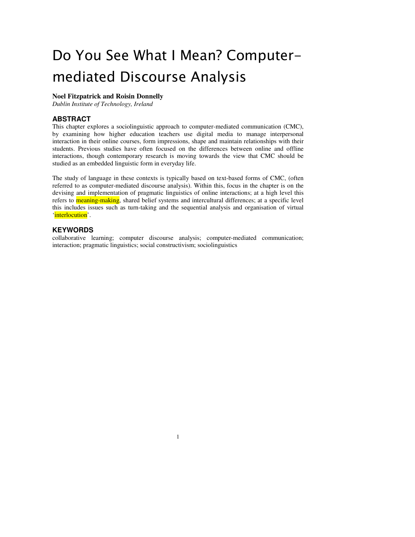# Do You See What I Mean? Computermediated Discourse Analysis

#### **Noel Fitzpatrick and Roisin Donnelly**

*Dublin Institute of Technology, Ireland* 

## **ABSTRACT**

This chapter explores a sociolinguistic approach to computer-mediated communication (CMC), by examining how higher education teachers use digital media to manage interpersonal interaction in their online courses, form impressions, shape and maintain relationships with their students. Previous studies have often focused on the differences between online and offline interactions, though contemporary research is moving towards the view that CMC should be studied as an embedded linguistic form in everyday life.

The study of language in these contexts is typically based on text-based forms of CMC, (often referred to as computer-mediated discourse analysis). Within this, focus in the chapter is on the devising and implementation of pragmatic linguistics of online interactions; at a high level this refers to **meaning-making**, shared belief systems and intercultural differences; at a specific level this includes issues such as turn-taking and the sequential analysis and organisation of virtual 'interlocution'.

#### **KEYWORDS**

collaborative learning; computer discourse analysis; computer-mediated communication; interaction; pragmatic linguistics; social constructivism; sociolinguistics

1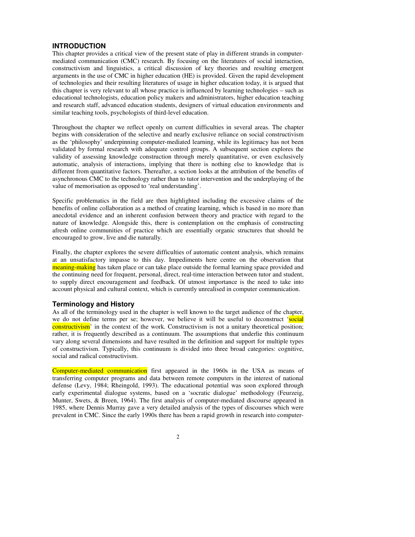#### **INTRODUCTION**

This chapter provides a critical view of the present state of play in different strands in computermediated communication (CMC) research. By focusing on the literatures of social interaction, constructivism and linguistics, a critical discussion of key theories and resulting emergent arguments in the use of CMC in higher education (HE) is provided. Given the rapid development of technologies and their resulting literatures of usage in higher education today, it is argued that this chapter is very relevant to all whose practice is influenced by learning technologies – such as educational technologists, education policy makers and administrators, higher education teaching and research staff, advanced education students, designers of virtual education environments and similar teaching tools, psychologists of third-level education.

Throughout the chapter we reflect openly on current difficulties in several areas. The chapter begins with consideration of the selective and nearly exclusive reliance on social constructivism as the 'philosophy' underpinning computer-mediated learning, while its legitimacy has not been validated by formal research with adequate control groups. A subsequent section explores the validity of assessing knowledge construction through merely quantitative, or even exclusively automatic, analysis of interactions, implying that there is nothing else to knowledge that is different from quantitative factors. Thereafter, a section looks at the attribution of the benefits of asynchronous CMC to the technology rather than to tutor intervention and the underplaying of the value of memorisation as opposed to 'real understanding'.

Specific problematics in the field are then highlighted including the excessive claims of the benefits of online collaboration as a method of creating learning, which is based in no more than anecdotal evidence and an inherent confusion between theory and practice with regard to the nature of knowledge. Alongside this, there is contemplation on the emphasis of constructing afresh online communities of practice which are essentially organic structures that should be encouraged to grow, live and die naturally.

Finally, the chapter explores the severe difficulties of automatic content analysis, which remains at an unsatisfactory impasse to this day. Impediments here centre on the observation that meaning-making has taken place or can take place outside the formal learning space provided and the continuing need for frequent, personal, direct, real-time interaction between tutor and student, to supply direct encouragement and feedback. Of utmost importance is the need to take into account physical and cultural context, which is currently unrealised in computer communication.

#### **Terminology and History**

As all of the terminology used in the chapter is well known to the target audience of the chapter, we do not define terms per se; however, we believe it will be useful to deconstruct 'social constructivism' in the context of the work. Constructivism is not a unitary theoretical position; rather, it is frequently described as a continuum. The assumptions that underlie this continuum vary along several dimensions and have resulted in the definition and support for multiple types of constructivism. Typically, this continuum is divided into three broad categories: cognitive, social and radical constructivism.

Computer-mediated communication first appeared in the 1960s in the USA as means of transferring computer programs and data between remote computers in the interest of national defense (Levy, 1984; Rheingold, 1993). The educational potential was soon explored through early experimental dialogue systems, based on a 'socratic dialogue' methodology (Feurzeig, Munter, Swets, & Breen, 1964). The first analysis of computer-mediated discourse appeared in 1985, where Dennis Murray gave a very detailed analysis of the types of discourses which were prevalent in CMC. Since the early 1990s there has been a rapid growth in research into computer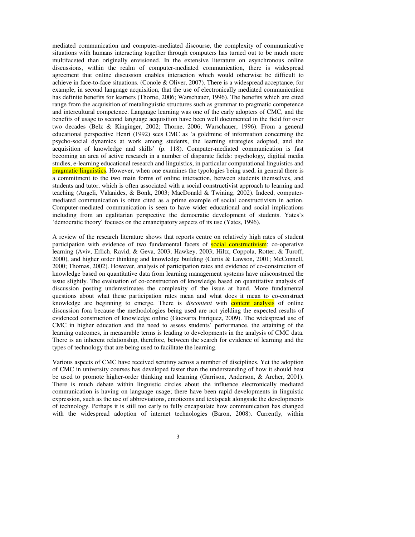mediated communication and computer-mediated discourse, the complexity of communicative situations with humans interacting together through computers has turned out to be much more multifaceted than originally envisioned. In the extensive literature on asynchronous online discussions, within the realm of computer-mediated communication, there is widespread agreement that online discussion enables interaction which would otherwise be difficult to achieve in face-to-face situations. (Conole & Oliver, 2007). There is a widespread acceptance, for example, in second language acquisition, that the use of electronically mediated communication has definite benefits for learners (Thorne, 2006; Warschauer, 1996). The benefits which are cited range from the acquisition of metalinguistic structures such as grammar to pragmatic competence and intercultural competence. Language learning was one of the early adopters of CMC, and the benefits of usage to second language acquisition have been well documented in the field for over two decades (Belz & Kinginger, 2002; Thorne, 2006; Warschauer, 1996). From a general educational perspective Henri (1992) sees CMC as 'a goldmine of information concerning the psycho-social dynamics at work among students, the learning strategies adopted, and the acquisition of knowledge and skills' (p. 118). Computer-mediated communication is fast becoming an area of active research in a number of disparate fields: psychology, digitial media studies, e-learning educational research and linguistics, in particular computational linguistics and pragmatic linguistics. However, when one examines the typologies being used, in general there is a commitment to the two main forms of online interaction, between students themselves, and students and tutor, which is often associated with a social constructivist approach to learning and teaching (Angeli, Valanides, & Bonk, 2003; MacDonald & Twining, 2002). Indeed, computermediated communication is often cited as a prime example of social constructivism in action. Computer-mediated communication is seen to have wider educational and social implications including from an egalitarian perspective the democratic development of students. Yates's 'democratic theory' focuses on the emancipatory aspects of its use (Yates, 1996).

A review of the research literature shows that reports centre on relatively high rates of student participation with evidence of two fundamental facets of social constructivism: co-operative learning (Aviv, Erlich, Ravid, & Geva, 2003; Hawkey, 2003; Hiltz, Coppola, Rotter, & Turoff, 2000), and higher order thinking and knowledge building (Curtis & Lawson, 2001; McConnell, 2000; Thomas, 2002). However, analysis of participation rates and evidence of co-construction of knowledge based on quantitative data from learning management systems have misconstrued the issue slightly. The evaluation of co-construction of knowledge based on quantitative analysis of discussion posting underestimates the complexity of the issue at hand. More fundamental questions about what these participation rates mean and what does it mean to co-construct knowledge are beginning to emerge. There is *discontent* with **content analysis** of online discussion fora because the methodologies being used are not yielding the expected results of evidenced construction of knowledge online (Guevarra Enriquez, 2009). The widespread use of CMC in higher education and the need to assess students' performance, the attaining of the learning outcomes, in measurable terms is leading to developments in the analysis of CMC data. There is an inherent relationship, therefore, between the search for evidence of learning and the types of technology that are being used to facilitate the learning.

Various aspects of CMC have received scrutiny across a number of disciplines. Yet the adoption of CMC in university courses has developed faster than the understanding of how it should best be used to promote higher-order thinking and learning (Garrison, Anderson, & Archer, 2001). There is much debate within linguistic circles about the influence electronically mediated communication is having on language usage; there have been rapid developments in linguistic expression, such as the use of abbreviations, emoticons and textspeak alongside the developments of technology. Perhaps it is still too early to fully encapsulate how communication has changed with the widespread adoption of internet technologies (Baron, 2008). Currently, within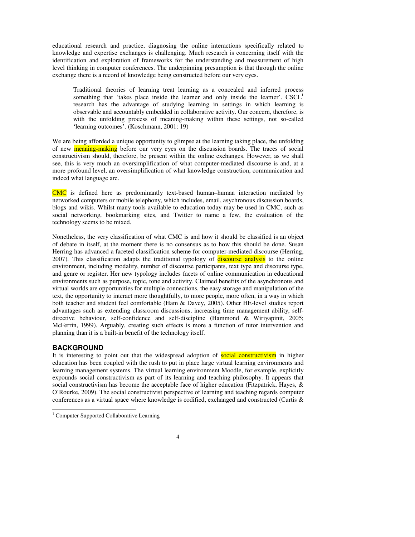educational research and practice, diagnosing the online interactions specifically related to knowledge and expertise exchanges is challenging. Much research is concerning itself with the identification and exploration of frameworks for the understanding and measurement of high level thinking in computer conferences. The underpinning presumption is that through the online exchange there is a record of knowledge being constructed before our very eyes.

Traditional theories of learning treat learning as a concealed and inferred process something that 'takes place inside the learner and only inside the learner'. CSCL<sup>1</sup> research has the advantage of studying learning in settings in which learning is observable and accountably embedded in collaborative activity. Our concern, therefore, is with the unfolding process of meaning-making within these settings, not so-called 'learning outcomes'. (Koschmann, 2001: 19)

We are being afforded a unique opportunity to glimpse at the learning taking place, the unfolding of new **meaning-making** before our very eyes on the discussion boards. The traces of social constructivism should, therefore, be present within the online exchanges. However, as we shall see, this is very much an oversimplification of what computer-mediated discourse is and, at a more profound level, an oversimplification of what knowledge construction, communication and indeed what language are.

CMC is defined here as predominantly text-based human–human interaction mediated by networked computers or mobile telephony, which includes, email, asychronous discussion boards, blogs and wikis. Whilst many tools available to education today may be used in CMC, such as social networking, bookmarking sites, and Twitter to name a few, the evaluation of the technology seems to be mixed.

Nonetheless, the very classification of what CMC is and how it should be classified is an object of debate in itself, at the moment there is no consensus as to how this should be done. Susan Herring has advanced a faceted classification scheme for computer-mediated discourse (Herring, 2007). This classification adapts the traditional typology of discourse analysis to the online environment, including modality, number of discourse participants, text type and discourse type, and genre or register. Her new typology includes facets of online communication in educational environments such as purpose, topic, tone and activity. Claimed benefits of the asynchronous and virtual worlds are opportunities for multiple connections, the easy storage and manipulation of the text, the opportunity to interact more thoughtfully, to more people, more often, in a way in which both teacher and student feel comfortable (Ham & Davey, 2005). Other HE-level studies report advantages such as extending classroom discussions, increasing time management ability, selfdirective behaviour, self-confidence and self-discipline (Hammond & Wiriyapinit, 2005; McFerrin, 1999). Arguably, creating such effects is more a function of tutor intervention and planning than it is a built-in benefit of the technology itself.

#### **BACKGROUND**

It is interesting to point out that the widespread adoption of social constructivism in higher education has been coupled with the rush to put in place large virtual learning environments and learning management systems. The virtual learning environment Moodle, for example, explicitly expounds social constructivism as part of its learning and teaching philosophy. It appears that social constructivism has become the acceptable face of higher education (Fitzpatrick, Hayes,  $\&$ O'Rourke, 2009). The social constructivist perspective of learning and teaching regards computer conferences as a virtual space where knowledge is codified, exchanged and constructed (Curtis &

 1 Computer Supported Collaborative Learning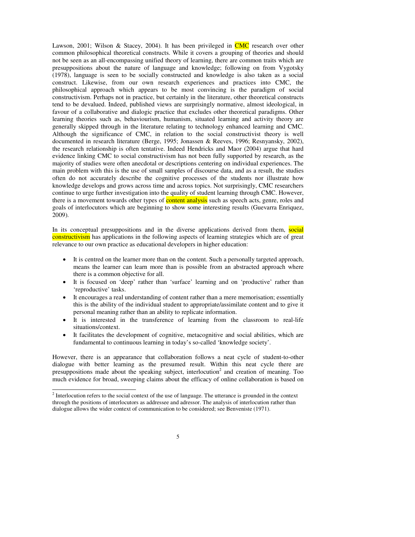Lawson, 2001; Wilson & Stacey, 2004). It has been privileged in  $CMC$  research over other common philosophical theoretical constructs. While it covers a grouping of theories and should not be seen as an all-encompassing unified theory of learning, there are common traits which are presuppositions about the nature of language and knowledge; following on from Vygotsky (1978), language is seen to be socially constructed and knowledge is also taken as a social construct. Likewise, from our own research experiences and practices into CMC, the philosophical approach which appears to be most convincing is the paradigm of social constructivism. Perhaps not in practice, but certainly in the literature, other theoretical constructs tend to be devalued. Indeed, published views are surprisingly normative, almost ideological, in favour of a collaborative and dialogic practice that excludes other theoretical paradigms. Other learning theories such as, behaviourism, humanism, situated learning and activity theory are generally skipped through in the literature relating to technology enhanced learning and CMC. Although the significance of CMC, in relation to the social constructivist theory is well documented in research literature (Berge, 1995; Jonassen & Reeves, 1996; Resnyansky, 2002), the research relationship is often tentative. Indeed Hendricks and Maor (2004) argue that hard evidence linking CMC to social constructivism has not been fully supported by research, as the majority of studies were often anecdotal or descriptions centering on individual experiences. The main problem with this is the use of small samples of discourse data, and as a result, the studies often do not accurately describe the cognitive processes of the students nor illustrate how knowledge develops and grows across time and across topics. Not surprisingly, CMC researchers continue to urge further investigation into the quality of student learning through CMC. However, there is a movement towards other types of **content analysis** such as speech acts, genre, roles and goals of interlocutors which are beginning to show some interesting results (Guevarra Enriquez, 2009).

In its conceptual presuppositions and in the diverse applications derived from them, social constructivism has applications in the following aspects of learning strategies which are of great relevance to our own practice as educational developers in higher education:

- It is centred on the learner more than on the content. Such a personally targeted approach, means the learner can learn more than is possible from an abstracted approach where there is a common objective for all.
- It is focused on 'deep' rather than 'surface' learning and on 'productive' rather than 'reproductive' tasks.
- It encourages a real understanding of content rather than a mere memorisation; essentially this is the ability of the individual student to appropriate/assimilate content and to give it personal meaning rather than an ability to replicate information.
- It is interested in the transference of learning from the classroom to real-life situations/context.
- It facilitates the development of cognitive, metacognitive and social abilities, which are fundamental to continuous learning in today's so-called 'knowledge society'.

However, there is an appearance that collaboration follows a neat cycle of student-to-other dialogue with better learning as the presumed result. Within this neat cycle there are presuppositions made about the speaking subject, interlocution<sup>2</sup> and creation of meaning. Too much evidence for broad, sweeping claims about the efficacy of online collaboration is based on

<sup>&</sup>lt;sup>2</sup> Interlocution refers to the social context of the use of language. The utterance is grounded in the context through the positions of interlocutors as addressee and adressor. The analysis of interlocution rather than dialogue allows the wider context of communication to be considered; see Benveniste (1971).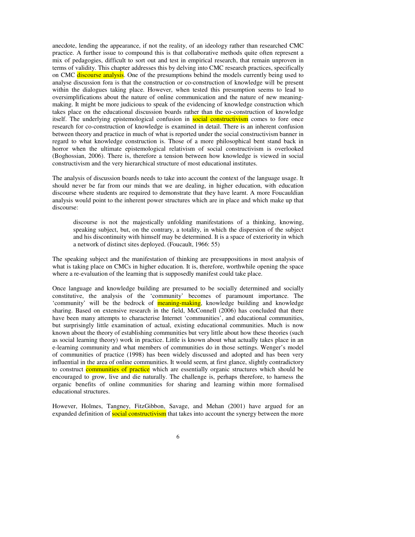anecdote, lending the appearance, if not the reality, of an ideology rather than researched CMC practice. A further issue to compound this is that collaborative methods quite often represent a mix of pedagogies, difficult to sort out and test in empirical research, that remain unproven in terms of validity. This chapter addresses this by delving into CMC research practices, specifically on CMC discourse analysis. One of the presumptions behind the models currently being used to analyse discussion fora is that the construction or co-construction of knowledge will be present within the dialogues taking place. However, when tested this presumption seems to lead to oversimplifications about the nature of online communication and the nature of new meaningmaking. It might be more judicious to speak of the evidencing of knowledge construction which takes place on the educational discussion boards rather than the co-construction of knowledge itself. The underlying epistemological confusion in social constructivism comes to fore once research for co-construction of knowledge is examined in detail. There is an inherent confusion between theory and practice in much of what is reported under the social constructivism banner in regard to what knowledge construction is. Those of a more philosophical bent stand back in horror when the ultimate epistemological relativism of social constructivism is overlooked (Boghossian, 2006). There is, therefore a tension between how knowledge is viewed in social constructivism and the very hierarchical structure of most educational institutes.

The analysis of discussion boards needs to take into account the context of the language usage. It should never be far from our minds that we are dealing, in higher education, with education discourse where students are required to demonstrate that they have learnt. A more Foucauldian analysis would point to the inherent power structures which are in place and which make up that discourse:

discourse is not the majestically unfolding manifestations of a thinking, knowing, speaking subject, but, on the contrary, a totality, in which the dispersion of the subject and his discontinuity with himself may be determined. It is a space of exteriority in which a network of distinct sites deployed. (Foucault, 1966: 55)

The speaking subject and the manifestation of thinking are presuppositions in most analysis of what is taking place on CMCs in higher education. It is, therefore, worthwhile opening the space where a re-evaluation of the learning that is supposedly manifest could take place.

Once language and knowledge building are presumed to be socially determined and socially constitutive, the analysis of the 'community' becomes of paramount importance. The 'community' will be the bedrock of meaning-making, knowledge building and knowledge sharing. Based on extensive research in the field, McConnell (2006) has concluded that there have been many attempts to characterise Internet 'communities', and educational communities, but surprisingly little examination of actual, existing educational communities. Much is now known about the theory of establishing communities but very little about how these theories (such as social learning theory) work in practice. Little is known about what actually takes place in an e-learning community and what members of communities do in those settings. Wenger's model of communities of practice (1998) has been widely discussed and adopted and has been very influential in the area of online communities. It would seem, at first glance, slightly contradictory to construct communities of practice which are essentially organic structures which should be encouraged to grow, live and die naturally. The challenge is, perhaps therefore, to harness the organic benefits of online communities for sharing and learning within more formalised educational structures.

However, Holmes, Tangney, FitzGibbon, Savage, and Mehan (2001) have argued for an expanded definition of social constructivism that takes into account the synergy between the more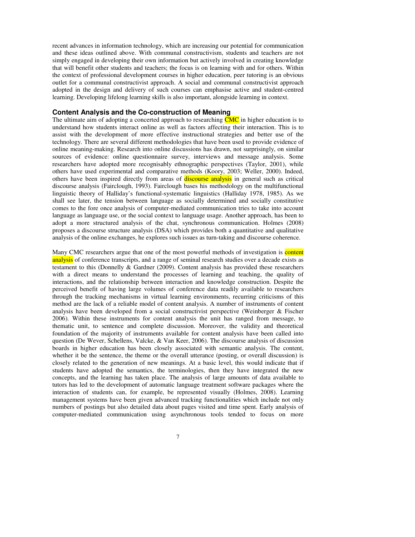recent advances in information technology, which are increasing our potential for communication and these ideas outlined above. With communal constructivism, students and teachers are not simply engaged in developing their own information but actively involved in creating knowledge that will benefit other students and teachers; the focus is on learning with and for others. Within the context of professional development courses in higher education, peer tutoring is an obvious outlet for a communal constructivist approach. A social and communal constructivist approach adopted in the design and delivery of such courses can emphasise active and student-centred learning. Developing lifelong learning skills is also important, alongside learning in context.

#### **Content Analysis and the Co-construction of Meaning**

The ultimate aim of adopting a concerted approach to researching **CMC** in higher education is to understand how students interact online as well as factors affecting their interaction. This is to assist with the development of more effective instructional strategies and better use of the technology. There are several different methodologies that have been used to provide evidence of online meaning-making. Research into online discussions has drawn, not surprisingly, on similar sources of evidence: online questionnaire survey, interviews and message analysis. Some researchers have adopted more recognisably ethnographic perspectives (Taylor, 2001), while others have used experimental and comparative methods (Koory, 2003; Weller, 2000). Indeed, others have been inspired directly from areas of discourse analysis in general such as critical discourse analysis (Fairclough, 1993). Fairclough bases his methodology on the multifunctional linguistic theory of Halliday's functional-systematic linguistics (Halliday 1978, 1985). As we shall see later, the tension between language as socially determined and socially constitutive comes to the fore once analysis of computer-mediated communication tries to take into account language as language use, or the social context to language usage. Another approach, has been to adopt a more structured analysis of the chat, synchronous communication. Holmes (2008) proposes a discourse structure analysis (DSA) which provides both a quantitative and qualitative analysis of the online exchanges, he explores such issues as turn-taking and discourse coherence.

Many CMC researchers argue that one of the most powerful methods of investigation is content analysis of conference transcripts, and a range of seminal research studies over a decade exists as testament to this (Donnelly & Gardner (2009). Content analysis has provided these researchers with a direct means to understand the processes of learning and teaching, the quality of interactions, and the relationship between interaction and knowledge construction. Despite the perceived benefit of having large volumes of conference data readily available to researchers through the tracking mechanisms in virtual learning environments, recurring criticisms of this method are the lack of a reliable model of content analysis. A number of instruments of content analysis have been developed from a social constructivist perspective (Weinberger & Fischer 2006). Within these instruments for content analysis the unit has ranged from message, to thematic unit, to sentence and complete discussion. Moreover, the validity and theoretical foundation of the majority of instruments available for content analysis have been called into question (De Wever, Schellens, Valcke, & Van Keer, 2006). The discourse analysis of discussion boards in higher education has been closely associated with semantic analysis. The content, whether it be the sentence, the theme or the overall utterance (posting, or overall discussion) is closely related to the generation of new meanings. At a basic level, this would indicate that if students have adopted the semantics, the terminologies, then they have integrated the new concepts, and the learning has taken place. The analysis of large amounts of data available to tutors has led to the development of automatic language treatment software packages where the interaction of students can, for example, be represented visually (Holmes, 2008). Learning management systems have been given advanced tracking functionalities which include not only numbers of postings but also detailed data about pages visited and time spent. Early analysis of computer-mediated communication using asynchronous tools tended to focus on more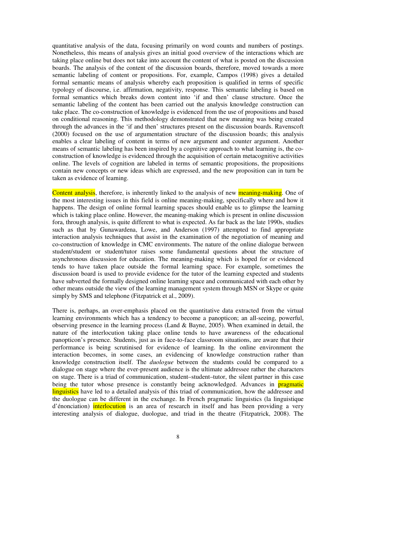quantitative analysis of the data, focusing primarily on word counts and numbers of postings. Nonetheless, this means of analysis gives an initial good overview of the interactions which are taking place online but does not take into account the content of what is posted on the discussion boards. The analysis of the content of the discussion boards, therefore, moved towards a more semantic labeling of content or propositions. For, example, Campos (1998) gives a detailed formal semantic means of analysis whereby each proposition is qualified in terms of specific typology of discourse, i.e. affirmation, negativity, response. This semantic labeling is based on formal semantics which breaks down content into 'if and then' clause structure. Once the semantic labeling of the content has been carried out the analysis knowledge construction can take place. The co-construction of knowledge is evidenced from the use of propositions and based on conditional reasoning. This methodology demonstrated that new meaning was being created through the advances in the 'if and then' structures present on the discussion boards. Ravenscoft (2000) focused on the use of argumentation structure of the discussion boards; this analysis enables a clear labeling of content in terms of new argument and counter argument. Another means of semantic labeling has been inspired by a cognitive approach to what learning is, the coconstruction of knowledge is evidenced through the acquisition of certain metacognitive activities online. The levels of cognition are labeled in terms of semantic propositions, the propositions contain new concepts or new ideas which are expressed, and the new proposition can in turn be taken as evidence of learning.

Content analysis, therefore, is inherently linked to the analysis of new **meaning-making**. One of the most interesting issues in this field is online meaning-making, specifically where and how it happens. The design of online formal learning spaces should enable us to glimpse the learning which is taking place online. However, the meaning-making which is present in online discussion fora, through analysis, is quite different to what is expected. As far back as the late 1990s, studies such as that by Gunawardena, Lowe, and Anderson (1997) attempted to find appropriate interaction analysis techniques that assist in the examination of the negotiation of meaning and co-construction of knowledge in CMC environments. The nature of the online dialogue between student/student or student/tutor raises some fundamental questions about the structure of asynchronous discussion for education. The meaning-making which is hoped for or evidenced tends to have taken place outside the formal learning space. For example, sometimes the discussion board is used to provide evidence for the tutor of the learning expected and students have subverted the formally designed online learning space and communicated with each other by other means outside the view of the learning management system through MSN or Skype or quite simply by SMS and telephone (Fitzpatrick et al., 2009).

There is, perhaps, an over-emphasis placed on the quantitative data extracted from the virtual learning environments which has a tendency to become a panopticon; an all-seeing, powerful, observing presence in the learning process (Land & Bayne, 2005). When examined in detail, the nature of the interlocution taking place online tends to have awareness of the educational panopticon's presence. Students, just as in face-to-face classroom situations, are aware that their performance is being scrutinised for evidence of learning. In the online environment the interaction becomes, in some cases, an evidencing of knowledge construction rather than knowledge construction itself. The *duologue* between the students could be compared to a dialogue on stage where the ever-present audience is the ultimate addressee rather the characters on stage. There is a triad of communication, student–student–tutor, the silent partner in this case being the tutor whose presence is constantly being acknowledged. Advances in **pragmatic** linguistics have led to a detailed analysis of this triad of communication, how the addressee and the duologue can be different in the exchange. In French pragmatic linguistics (la linguistique d'énonciation) interlocution is an area of research in itself and has been providing a very interesting analysis of dialogue, duologue, and triad in the theatre (Fitzpatrick, 2008). The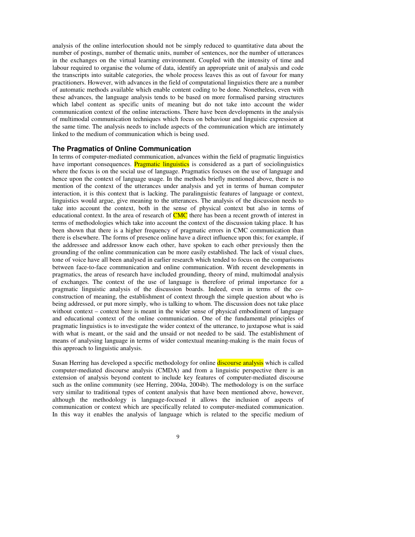analysis of the online interlocution should not be simply reduced to quantitative data about the number of postings, number of thematic units, number of sentences, nor the number of utterances in the exchanges on the virtual learning environment. Coupled with the intensity of time and labour required to organise the volume of data, identify an appropriate unit of analysis and code the transcripts into suitable categories, the whole process leaves this as out of favour for many practitioners. However, with advances in the field of computational linguistics there are a number of automatic methods available which enable content coding to be done. Nonetheless, even with these advances, the language analysis tends to be based on more formalised parsing structures which label content as specific units of meaning but do not take into account the wider communication context of the online interactions. There have been developments in the analysis of multimodal communication techniques which focus on behaviour and linguistic expression at the same time. The analysis needs to include aspects of the communication which are intimately linked to the medium of communication which is being used.

#### **The Pragmatics of Online Communication**

In terms of computer-mediated communication, advances within the field of pragmatic linguistics have important consequences. Pragmatic linguistics is considered as a part of sociolinguistics where the focus is on the social use of language. Pragmatics focuses on the use of language and hence upon the context of language usage. In the methods briefly mentioned above, there is no mention of the context of the utterances under analysis and yet in terms of human computer interaction, it is this context that is lacking. The paralinguistic features of language or context, linguistics would argue, give meaning to the utterances. The analysis of the discussion needs to take into account the context, both in the sense of physical context but also in terms of educational context. In the area of research of **CMC** there has been a recent growth of interest in terms of methodologies which take into account the context of the discussion taking place. It has been shown that there is a higher frequency of pragmatic errors in CMC communication than there is elsewhere. The forms of presence online have a direct influence upon this; for example, if the addressee and addressor know each other, have spoken to each other previously then the grounding of the online communication can be more easily established. The lack of visual clues, tone of voice have all been analysed in earlier research which tended to focus on the comparisons between face-to-face communication and online communication. With recent developments in pragmatics, the areas of research have included grounding, theory of mind, multimodal analysis of exchanges. The context of the use of language is therefore of primal importance for a pragmatic linguistic analysis of the discussion boards. Indeed, even in terms of the coconstruction of meaning, the establishment of context through the simple question about who is being addressed, or put more simply, who is talking to whom. The discussion does not take place without context – context here is meant in the wider sense of physical embodiment of language and educational context of the online communication. One of the fundamental principles of pragmatic linguistics is to investigate the wider context of the utterance, to juxtapose what is said with what is meant, or the said and the unsaid or not needed to be said. The establishment of means of analysing language in terms of wider contextual meaning-making is the main focus of this approach to linguistic analysis.

Susan Herring has developed a specific methodology for online discourse analysis which is called computer-mediated discourse analysis (CMDA) and from a linguistic perspective there is an extension of analysis beyond content to include key features of computer-mediated discourse such as the online community (see Herring, 2004a, 2004b). The methodology is on the surface very similar to traditional types of content analysis that have been mentioned above, however, although the methodology is language-focused it allows the inclusion of aspects of communication or context which are specifically related to computer-mediated communication. In this way it enables the analysis of language which is related to the specific medium of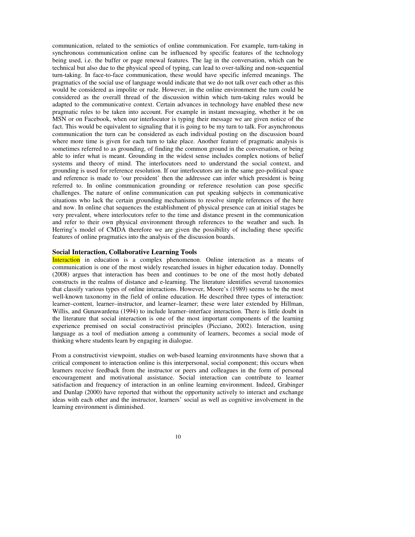communication, related to the semiotics of online communication. For example, turn-taking in synchronous communication online can be influenced by specific features of the technology being used, i.e. the buffer or page renewal features. The lag in the conversation, which can be technical but also due to the physical speed of typing, can lead to over-talking and non-sequential turn-taking. In face-to-face communication, these would have specific inferred meanings. The pragmatics of the social use of language would indicate that we do not talk over each other as this would be considered as impolite or rude. However, in the online environment the turn could be considered as the overall thread of the discussion within which turn-taking rules would be adapted to the communicative context. Certain advances in technology have enabled these new pragmatic rules to be taken into account. For example in instant messaging, whether it be on MSN or on Facebook, when our interlocutor is typing their message we are given notice of the fact. This would be equivalent to signaling that it is going to be my turn to talk. For asynchronous communication the turn can be considered as each individual posting on the discussion board where more time is given for each turn to take place. Another feature of pragmatic analysis is sometimes referred to as grounding, of finding the common ground in the conversation, or being able to infer what is meant. Grounding in the widest sense includes complex notions of belief systems and theory of mind. The interlocutors need to understand the social context, and grounding is used for reference resolution. If our interlocutors are in the same geo-political space and reference is made to 'our president' then the addressee can infer which president is being referred to. In online communication grounding or reference resolution can pose specific challenges. The nature of online communication can put speaking subjects in communicative situations who lack the certain grounding mechanisms to resolve simple references of the here and now. In online chat sequences the establishment of physical presence can at initial stages be very prevalent, where interlocutors refer to the time and distance present in the communication and refer to their own physical environment through references to the weather and such. In Herring's model of CMDA therefore we are given the possibility of including these specific features of online pragmatics into the analysis of the discussion boards.

#### **Social Interaction, Collaborative Learning Tools**

Interaction in education is a complex phenomenon. Online interaction as a means of communication is one of the most widely researched issues in higher education today. Donnelly (2008) argues that interaction has been and continues to be one of the most hotly debated constructs in the realms of distance and e-learning. The literature identifies several taxonomies that classify various types of online interactions. However, Moore's (1989) seems to be the most well-known taxonomy in the field of online education. He described three types of interaction: learner–content, learner–instructor, and learner–learner; these were later extended by Hillman, Willis, and Gunawardena (1994) to include learner–interface interaction. There is little doubt in the literature that social interaction is one of the most important components of the learning experience premised on social constructivist principles (Picciano, 2002). Interaction, using language as a tool of mediation among a community of learners, becomes a social mode of thinking where students learn by engaging in dialogue.

From a constructivist viewpoint, studies on web-based learning environments have shown that a critical component to interaction online is this interpersonal, social component; this occurs when learners receive feedback from the instructor or peers and colleagues in the form of personal encouragement and motivational assistance. Social interaction can contribute to learner satisfaction and frequency of interaction in an online learning environment. Indeed, Grabinger and Dunlap (2000) have reported that without the opportunity actively to interact and exchange ideas with each other and the instructor, learners' social as well as cognitive involvement in the learning environment is diminished.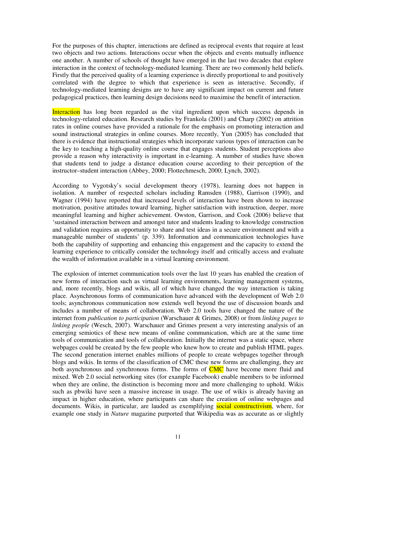For the purposes of this chapter, interactions are defined as reciprocal events that require at least two objects and two actions. Interactions occur when the objects and events mutually influence one another. A number of schools of thought have emerged in the last two decades that explore interaction in the context of technology-mediated learning. There are two commonly held beliefs. Firstly that the perceived quality of a learning experience is directly proportional to and positively correlated with the degree to which that experience is seen as interactive. Secondly, if technology-mediated learning designs are to have any significant impact on current and future pedagogical practices, then learning design decisions need to maximise the benefit of interaction.

Interaction has long been regarded as the vital ingredient upon which success depends in technology-related education. Research studies by Frankola (2001) and Charp (2002) on attrition rates in online courses have provided a rationale for the emphasis on promoting interaction and sound instructional strategies in online courses. More recently, Yun (2005) has concluded that there is evidence that instructional strategies which incorporate various types of interaction can be the key to teaching a high-quality online course that engages students. Student perceptions also provide a reason why interactivity is important in e-learning. A number of studies have shown that students tend to judge a distance education course according to their perception of the instructor–student interaction (Abbey, 2000; Flottechmesch, 2000; Lynch, 2002).

According to Vygotsky's social development theory (1978), learning does not happen in isolation. A number of respected scholars including Ramsden (1988), Garrison (1990), and Wagner (1994) have reported that increased levels of interaction have been shown to increase motivation, positive attitudes toward learning, higher satisfaction with instruction, deeper, more meaningful learning and higher achievement. Owston, Garrison, and Cook (2006) believe that 'sustained interaction between and amongst tutor and students leading to knowledge construction and validation requires an opportunity to share and test ideas in a secure environment and with a manageable number of students' (p. 339). Information and communication technologies have both the capability of supporting and enhancing this engagement and the capacity to extend the learning experience to critically consider the technology itself and critically access and evaluate the wealth of information available in a virtual learning environment.

The explosion of internet communication tools over the last 10 years has enabled the creation of new forms of interaction such as virtual learning environments, learning management systems, and, more recently, blogs and wikis, all of which have changed the way interaction is taking place. Asynchronous forms of communication have advanced with the development of Web 2.0 tools; asynchronous communication now extends well beyond the use of discussion boards and includes a number of means of collaboration. Web 2.0 tools have changed the nature of the internet from *publication to participation* (Warschauer & Grimes, 2008) or from *linking pages to linking people* (Wesch, 2007). Warschauer and Grimes present a very interesting analysis of an emerging semiotics of these new means of online communication, which are at the same time tools of communication and tools of collaboration. Initially the internet was a static space, where webpages could be created by the few people who knew how to create and publish HTML pages. The second generation internet enables millions of people to create webpages together through blogs and wikis. In terms of the classification of CMC these new forms are challenging, they are both asynchronous and synchronous forms. The forms of **CMC** have become more fluid and mixed. Web 2.0 social networking sites (for example Facebook) enable members to be informed when they are online, the distinction is becoming more and more challenging to uphold. Wikis such as pbwiki have seen a massive increase in usage. The use of wikis is already having an impact in higher education, where participants can share the creation of online webpages and documents. Wikis, in particular, are lauded as exemplifying social constructivism, where, for example one study in *Nature* magazine purported that Wikipedia was as accurate as or slightly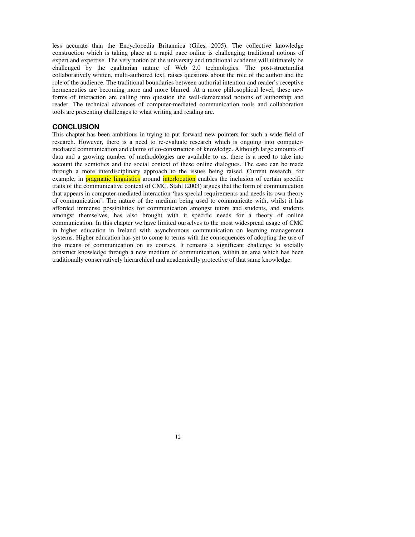less accurate than the Encyclopedia Britannica (Giles, 2005). The collective knowledge construction which is taking place at a rapid pace online is challenging traditional notions of expert and expertise. The very notion of the university and traditional academe will ultimately be challenged by the egalitarian nature of Web 2.0 technologies. The post-structuralist collaboratively written, multi-authored text, raises questions about the role of the author and the role of the audience. The traditional boundaries between authorial intention and reader's receptive hermeneutics are becoming more and more blurred. At a more philosophical level, these new forms of interaction are calling into question the well-demarcated notions of authorship and reader. The technical advances of computer-mediated communication tools and collaboration tools are presenting challenges to what writing and reading are.

#### **CONCLUSION**

This chapter has been ambitious in trying to put forward new pointers for such a wide field of research. However, there is a need to re-evaluate research which is ongoing into computermediated communication and claims of co-construction of knowledge. Although large amounts of data and a growing number of methodologies are available to us, there is a need to take into account the semiotics and the social context of these online dialogues. The case can be made through a more interdisciplinary approach to the issues being raised. Current research, for example, in **pragmatic linguistics** around **interlocution** enables the inclusion of certain specific traits of the communicative context of CMC. Stahl (2003) argues that the form of communication that appears in computer-mediated interaction 'has special requirements and needs its own theory of communication'. The nature of the medium being used to communicate with, whilst it has afforded immense possibilities for communication amongst tutors and students, and students amongst themselves, has also brought with it specific needs for a theory of online communication. In this chapter we have limited ourselves to the most widespread usage of CMC in higher education in Ireland with asynchronous communication on learning management systems. Higher education has yet to come to terms with the consequences of adopting the use of this means of communication on its courses. It remains a significant challenge to socially construct knowledge through a new medium of communication, within an area which has been traditionally conservatively hierarchical and academically protective of that same knowledge.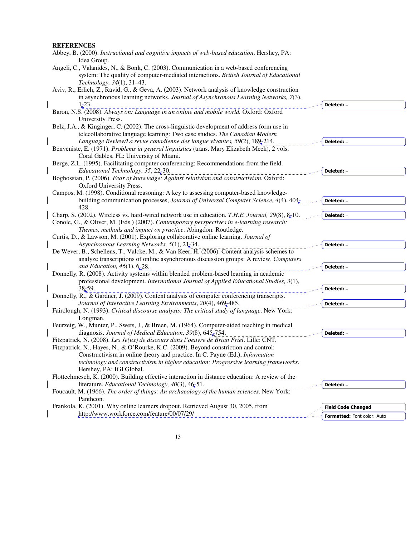## **REFERENCES**

| Abbey, B. (2000). Instructional and cognitive impacts of web-based education. Hershey, PA:       |                             |
|--------------------------------------------------------------------------------------------------|-----------------------------|
| Idea Group.                                                                                      |                             |
| Angeli, C., Valanides, N., & Bonk, C. (2003). Communication in a web-based conferencing          |                             |
| system: The quality of computer-mediated interactions. British Journal of Educational            |                             |
| Technology, 34(1), 31-43.                                                                        |                             |
| Aviv, R., Erlich, Z., Ravid, G., & Geva, A. (2003). Network analysis of knowledge construction   |                             |
| in asynchronous learning networks. Journal of Asynchronous Learning Networks, 7(3),              |                             |
| $1 - 23$ .                                                                                       | Deleted: -                  |
| Baron, N.S. (2008). Always on: Language in an online and mobile world. Oxford: Oxford            |                             |
|                                                                                                  |                             |
| University Press.                                                                                |                             |
| Belz, J.A., & Kinginger, C. (2002). The cross-linguistic development of address form use in      |                             |
| telecollaborative language learning: Two case studies. The Canadian Modern                       |                             |
| Language Review/La revue canadienne des langue vivantes, 59(2), 189-214.                         | Deleted: -                  |
| Benveniste, E. (1971). Problems in general linguistics (trans. Mary Elizabeth Meek), 2 vols.     |                             |
| Coral Gables, FL: University of Miami.                                                           |                             |
| Berge, Z.L. (1995). Facilitating computer conferencing: Recommendations from the field.          |                             |
| Educational Technology, 35, 22-30.                                                               | Deleted: -                  |
| Boghossian, P. (2006). Fear of knowledge: Against relativism and constructivism. Oxford:         |                             |
| Oxford University Press.                                                                         |                             |
| Campos, M. (1998). Conditional reasoning: A key to assessing computer-based knowledge-           |                             |
| building communication processes, Journal of Universal Computer Science, 4(4), 404               | Deleted: -                  |
| 428.                                                                                             |                             |
| Charp, S. (2002). Wireless vs. hard-wired network use in education. T.H.E. Journal, 29(8), 8-10. | Deleted: -                  |
| Conole, G., & Oliver, M. (Eds.) (2007). Contemporary perspectives in e-learning research:        |                             |
| Themes, methods and impact on practice. Abingdon: Routledge.                                     |                             |
| Curtis, D., & Lawson, M. (2001). Exploring collaborative online learning. Journal of             |                             |
| Asynchronous Learning Networks, 5(1), 21-34.                                                     | Deleted: -                  |
| De Wever, B., Schellens, T., Valcke, M., & Van Keer, H. (2006). Content analysis schemes to      |                             |
| analyze transcriptions of online asynchronous discussion groups: A review. Computers             |                             |
| and Education, $46(1)$ , $6-28$ .                                                                |                             |
|                                                                                                  | Deleted: -                  |
| Donnelly, R. (2008). Activity systems within blended problem-based learning in academic          |                             |
| professional development. International Journal of Applied Educational Studies, 3(1),            |                             |
| $38 - 59$ .                                                                                      | Deleted: -                  |
| Donnelly, R., & Gardner, J. (2009). Content analysis of computer conferencing transcripts.       |                             |
| Journal of Interactive Learning Environments, 20(4), 469-485.                                    | Deleted: -                  |
| Fairclough, N. (1993). Critical discourse analysis: The critical study of language. New York:    |                             |
| Longman.                                                                                         |                             |
| Feurzeig, W., Munter, P., Swets, J., & Breen, M. (1964). Computer-aided teaching in medical      |                             |
| diagnosis. Journal of Medical Education, 39(8), 645-754.                                         | Deleted: -                  |
| Fitzpatrick, N. (2008). Les Je(ux) de discours dans l'oeuvre de Brian Friel. Lille: CNT.         |                             |
| Fitzpatrick, N., Hayes, N., & O'Rourke, K.C. (2009). Beyond constriction and control:            |                             |
| Constructivism in online theory and practice. In C. Payne (Ed.), Information                     |                             |
| technology and constructivism in higher education: Progressive learning frameworks.              |                             |
| Hershey, PA: IGI Global.                                                                         |                             |
| Flottechmesch, K. (2000). Building effective interaction in distance education: A review of the  |                             |
| literature. Educational Technology, 40(3), 46-51.                                                | Deleted: -                  |
| Foucault, M. (1966). The order of things: An archaeology of the human sciences. New York:        |                             |
| Pantheon.                                                                                        |                             |
| Frankola, K. (2001). Why online learners dropout. Retrieved August 30, 2005, from                | <b>Field Code Changed</b>   |
| http://www.workforce.com/feature/00/07/29/                                                       |                             |
|                                                                                                  | Formatted: Font color: Auto |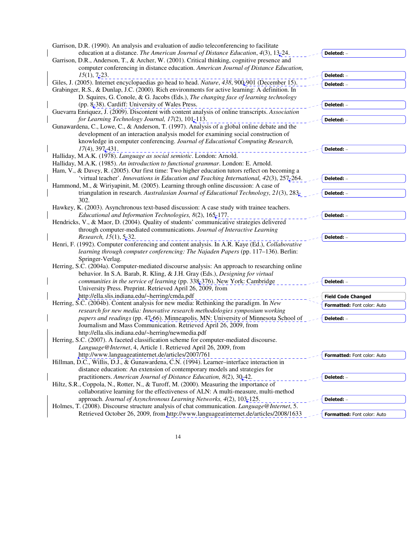| Garrison, D.R. (1990). An analysis and evaluation of audio teleconferencing to facilitate              |                             |
|--------------------------------------------------------------------------------------------------------|-----------------------------|
| education at a distance. The American Journal of Distance Education, 4(3), 13-24.                      | Deleted: -                  |
| Garrison, D.R., Anderson, T., & Archer, W. (2001). Critical thinking, cognitive presence and           |                             |
| computer conferencing in distance education. American Journal of Distance Education,                   |                             |
| $15(1), 7-23.$                                                                                         | Deleted: -                  |
| Giles, J. (2005). Internet encyclopaedias go head to head. <i>Nature</i> , 438, 900-901 (December 15). |                             |
| Grabinger, R.S., & Dunlap, J.C. (2000). Rich environments for active learning: A definition. In        | Deleted: -                  |
| D. Squires, G. Conole, & G. Jacobs (Eds.), The changing face of learning technology                    |                             |
|                                                                                                        |                             |
| (pp. 8-38). Cardiff: University of Wales Press.                                                        | Deleted: -                  |
| Guevarra Enriquez, J. (2009). Discontent with content analysis of online transcripts. Association      |                             |
| for Learning Technology Journal, 17(2), 101-113.                                                       | Deleted: -                  |
| Gunawardena, C., Lowe, C., & Anderson, T. (1997). Analysis of a global online debate and the           |                             |
| development of an interaction analysis model for examining social construction of                      |                             |
| knowledge in computer conferencing. Journal of Educational Computing Research,                         |                             |
| $17(4)$ , 397-431.                                                                                     | Deleted: -                  |
| Halliday, M.A.K. (1978). Language as social semiotic. London: Arnold.                                  |                             |
| Halliday, M.A.K. (1985). An introduction to functional grammar. London: E. Arnold.                     |                             |
| Ham, V., & Davey, R. (2005). Our first time: Two higher education tutors reflect on becoming a         |                             |
| 'virtual teacher'. Innovations in Education and Teaching International, 42(3), 257-264.                | Deleted: -                  |
| Hammond, M., & Wiriyapinit, M. (2005). Learning through online discussion: A case of                   |                             |
| triangulation in research. Australasian Journal of Educational Technology, 21(3), 283-                 | Deleted: -                  |
| 302.                                                                                                   |                             |
| Hawkey, K. (2003). Asynchronous text-based discussion: A case study with trainee teachers.             |                             |
| Educational and Information Technologies, 8(2), 165-177.                                               | Deleted: -                  |
| Hendricks, V., & Maor, D. (2004). Quality of students' communicative strategies delivered              |                             |
| through computer-mediated communications. Journal of Interactive Learning                              |                             |
| <i>Research</i> , $15(1)$ , $5-32$ .                                                                   | Deleted: -                  |
| Henri, F. (1992). Computer conferencing and content analysis. In A.R. Kaye (Ed.), Collaborative        |                             |
| learning through computer conferencing: The Najaden Papers (pp. 117-136). Berlin:                      |                             |
| Springer-Verlag.                                                                                       |                             |
| Herring, S.C. (2004a). Computer-mediated discourse analysis: An approach to researching online         |                             |
| behavior. In S.A. Barab, R. Kling, & J.H. Gray (Eds.), Designing for virtual                           |                             |
| communities in the service of learning (pp. 338-376). New York: Cambridge                              | Deleted: -                  |
| University Press. Preprint. Retrieved April 26, 2009, from                                             |                             |
| http://ella.slis.indiana.edu/~herring/cmda.pdf                                                         | <b>Field Code Changed</b>   |
| Herring, S.C. (2004b). Content analysis for new media: Rethinking the paradigm. In New                 |                             |
| research for new media: Innovative research methodologies symposium working                            | Formatted: Font color: Auto |
| papers and readings (pp. 47-66). Minneapolis, MN: University of Minnesota School of                    | Deleted: -                  |
| Journalism and Mass Communication. Retrieved April 26, 2009, from                                      |                             |
| http://ella.slis.indiana.edu/~herring/newmedia.pdf                                                     |                             |
| Herring, S.C. (2007). A faceted classification scheme for computer-mediated discourse.                 |                             |
| <i>Language</i> @ <i>Internet</i> , 4, Article 1. Retrieved April 26, 2009, from                       |                             |
| http://www.languageatinternet.de/articles/2007/761                                                     | Formatted: Font color: Auto |
| Hillman, D.C., Willis, D.J., & Gunawardena, C.N. (1994). Learner-interface interaction in              |                             |
| distance education: An extension of contemporary models and strategies for                             |                             |
|                                                                                                        |                             |
| practitioners. American Journal of Distance Education, 8(2), 30-42.                                    | Deleted: -                  |
| Hiltz, S.R., Coppola, N., Rotter, N., & Turoff, M. (2000). Measuring the importance of                 |                             |
| collaborative learning for the effectiveness of ALN: A multi-measure, multi-method                     |                             |
| approach. Journal of Asynchronous Learning Networks, 4(2), 103-125.                                    | Deleted: -                  |
| Holmes, T. (2008). Discourse structure analysis of chat communication. Language @ Internet, 5.         |                             |
| Retrieved October 26, 2009, from http://www.languageatinternet.de/articles/2008/1633                   | Formatted: Font color: Auto |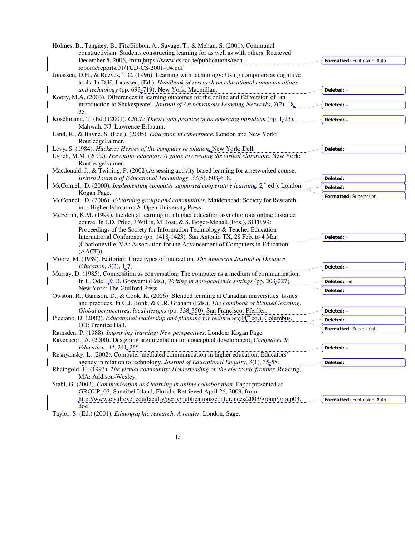| Holmes, B., Tangney, B., FitzGibbon, A., Savage, T., & Mehan, S. (2001). Communal                                                                       |                             |
|---------------------------------------------------------------------------------------------------------------------------------------------------------|-----------------------------|
| constructivism: Students constructing learning for as well as with others. Retrieved<br>December 5, 2006, from https://www.cs.tcd.ie/publications/tech- |                             |
| reports/reports.01/TCD-CS-2001-04.pdf                                                                                                                   | Formatted: Font color: Auto |
| Jonassen, D.H., & Reeves, T.C. (1996). Learning with technology: Using computers as cognitive                                                           |                             |
| tools. In D.H. Jonassen, (Ed.), Handbook of research on educational communications                                                                      |                             |
| and technology (pp. 693-719). New York: Macmillan.                                                                                                      | Deleted: -                  |
| Koory, M.A. (2003). Differences in learning outcomes for the online and f2f version of 'an                                                              |                             |
| introduction to Shakespeare'. Journal of Asynchronous Learning Networks, 7(2), 18-                                                                      | Deleted: -                  |
| 35.                                                                                                                                                     |                             |
| Koschmann, T. (Ed.) (2001). CSCL: Theory and practice of an emerging paradigm (pp. 1-23).                                                               | Deleted: -                  |
| Mahwah, NJ: Lawrence Erlbaum.                                                                                                                           |                             |
| Land, R., & Bayne. S. (Eds.). (2005). <i>Education in cyberspace</i> . London and New York:                                                             |                             |
| RoutledgeFalmer.                                                                                                                                        |                             |
| Levy, S. (1984). Hackers: Heroes of the computer revolution. New York: Dell.                                                                            | Deleted:                    |
| Lynch, M.M. (2002). The online educator: A guide to creating the virtual classroom. New York:                                                           |                             |
| RoutledgeFalmer.                                                                                                                                        |                             |
| Macdonald, J., & Twining, P. (2002). Assessing activity-based learning for a networked course.                                                          |                             |
| British Journal of Educational Technology, 33(5), 603-618.                                                                                              | Deleted: -                  |
| McConnell, D. (2000). Implementing computer supported cooperative learning $(2nd$ ed.). London:                                                         | Deleted:                    |
| Kogan Page.                                                                                                                                             |                             |
| McConnell, D. (2006). E-learning groups and communities. Maidenhead: Society for Research                                                               | Formatted: Superscript      |
| into Higher Education & Open University Press.                                                                                                          |                             |
| McFerrin, K.M. (1999). Incidental learning in a higher education asynchronous online distance                                                           |                             |
| course. In J.D. Price, J. Willis, M. Jost, & S. Boger-Mehall (Eds.), SITE 99:                                                                           |                             |
| Proceedings of the Society for Information Technology & Teacher Education                                                                               |                             |
| International Conference (pp. 1418-1423). San Antonio TX, 28 Feb. to 4 Mar.                                                                             | Deleted: -                  |
| (Charlotteville, VA: Association for the Advancement of Computers in Education                                                                          |                             |
| $(AACE)$ ).                                                                                                                                             |                             |
| Moore, M. (1989). Editorial: Three types of interaction. The American Journal of Distance                                                               |                             |
| <i>Education</i> , $3(2)$ , $1-7$ .                                                                                                                     | Deleted: -                  |
| Murray, D. (1985). Composition as conversation: The computer as a medium of communication.                                                              |                             |
| In L. Odell & D. Goswami (Eds.), Writing in non-academic settings (pp. 203-227).                                                                        | <b>Deleted: and</b>         |
| New York: The Guilford Press.                                                                                                                           | Deleted: -                  |
| Owston, R., Garrison, D., & Cook, K. (2006). Blended learning at Canadian universities: Issues                                                          |                             |
| and practices. In C.J. Bonk, & C.R. Graham (Eds.), The handbook of blended learning.                                                                    |                             |
| Global perspectives, local designs (pp. 338-350). San Francisco: Pfeiffer.                                                                              | Deleted: -                  |
| Picciano, D. (2002). <i>Educational leadership and planning for technology</i> $(4^{\text{th}}_k$ ed.). Columbus,                                       | Deleted:                    |
| OH: Prentice Hall.                                                                                                                                      | Formatted: Superscript      |
| Ramsden, P. (1988). Improving learning: New perspectives. London: Kogan Page.                                                                           |                             |
| Ravenscoft, A. (2000). Designing argumentation for conceptual development, Computers $\&$                                                               |                             |
| <i>Education</i> , $34, 241 - 255$ .                                                                                                                    | Deleted:                    |
| Resnyansky, L. (2002). Computer-mediated communication in higher education: Educators'                                                                  |                             |
| agency in relation to technology. Journal of Educational Enquiry, 3(1), 35-58.                                                                          | Deleted: -                  |
| Rheingold, H. (1993). The virtual community: Homesteading on the electronic frontier. Reading,                                                          |                             |
| MA: Addison-Wesley.                                                                                                                                     |                             |
| Stahl, G. (2003). Communication and learning in online collaboration. Paper presented at                                                                |                             |
| GROUP_03, Sannibel Island, Florida. Retrieved April 26, 2009, from                                                                                      |                             |
| http://www.cis.drexel.edu/faculty/gerry/publications/conferences/2003/group/group03.                                                                    | Formatted: Font color: Auto |
| doc                                                                                                                                                     |                             |

Taylor, S. (Ed.) (2001). *Ethnographic research: A reader.* London: Sage.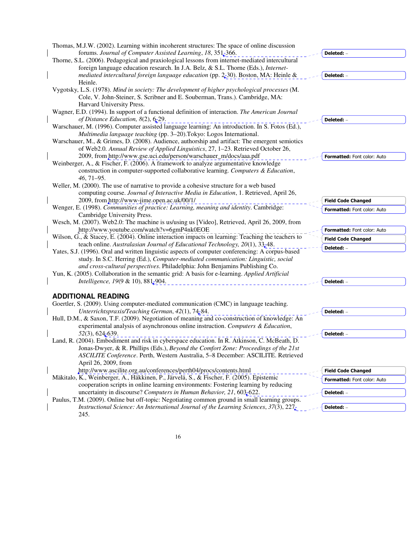| Thomas, M.J.W. (2002). Learning within incoherent structures: The space of online discussion                                                                                                                                                                              |                             |
|---------------------------------------------------------------------------------------------------------------------------------------------------------------------------------------------------------------------------------------------------------------------------|-----------------------------|
| forums. Journal of Computer Assisted Learning, 18, 351-366.<br>Thorne, S.L. (2006). Pedagogical and praxiological lessons from internet-mediated intercultural                                                                                                            | Deleted: -                  |
| foreign language education research. In J.A. Belz, & S.L. Thorne (Eds.), Internet-                                                                                                                                                                                        |                             |
| mediated intercultural foreign language education (pp. $2-30$ ). Boston, MA: Heinle &<br>Heinle.                                                                                                                                                                          | Deleted: -                  |
| Vygotsky, L.S. (1978). Mind in society: The development of higher psychological processes (M.<br>Cole, V. John-Steiner, S. Scribner and E. Souberman, Trans.). Cambridge, MA:<br>Harvard University Press.                                                                |                             |
| Wagner, E.D. (1994). In support of a functional definition of interaction. The American Journal<br>of Distance Education, 8(2), 6-29.                                                                                                                                     | Deleted: -                  |
| Warschauer, M. (1996). Computer assisted language learning: An introduction. In S. Fotos (Ed.),<br>Multimedia language teaching (pp. 3-20). Tokyo: Logos International.<br>Warschauer, M., & Grimes, D. (2008). Audience, authorship and artifact: The emergent semiotics |                             |
| of Web2.0. Annual Review of Applied Linguistics, 27, 1-23. Retrieved October 26,                                                                                                                                                                                          |                             |
| 2009, from http://www.gse.uci.edu/person/warschauer_m/docs/aaa.pdf                                                                                                                                                                                                        | Formatted: Font color: Auto |
| Weinberger, A., & Fischer, F. (2006). A framework to analyze argumentative knowledge                                                                                                                                                                                      |                             |
| construction in computer-supported collaborative learning. Computers & Education,<br>$46, 71 - 95.$                                                                                                                                                                       |                             |
| Weller, M. (2000). The use of narrative to provide a cohesive structure for a web based                                                                                                                                                                                   |                             |
| computing course. Journal of Interactive Media in Education, 1. Retrieved, April 26,                                                                                                                                                                                      |                             |
| 2009, from http://www-jime.open.ac.uk/00/1/                                                                                                                                                                                                                               | <b>Field Code Changed</b>   |
| Wenger, E. (1998). Communities of practice: Learning, meaning and identity. Cambridge:                                                                                                                                                                                    | Formatted: Font color: Auto |
| Cambridge University Press.                                                                                                                                                                                                                                               |                             |
| Wesch, M. (2007). Web2.0: The machine is us/using us [Video], Retrieved, April 26, 2009, from<br>http://www.youtube.com/watch?v=6gmP4nk0EOE                                                                                                                               | Formatted: Font color: Auto |
| Wilson, G., & Stacey, E. (2004). Online interaction impacts on learning: Teaching the teachers to                                                                                                                                                                         |                             |
| teach online. Australasian Journal of Educational Technology, 20(1), 33-48.                                                                                                                                                                                               | <b>Field Code Changed</b>   |
| Yates, S.J. (1996). Oral and written linguistic aspects of computer conferencing: A corpus-based                                                                                                                                                                          | Deleted: -                  |
| study. In S.C. Herring (Ed.), Computer-mediated communication: Linguistic, social                                                                                                                                                                                         |                             |
| and cross-cultural perspectives. Philadelphia: John Benjamins Publishing Co.                                                                                                                                                                                              |                             |
| Yun, K. (2005). Collaboration in the semantic grid: A basis for e-learning. Applied Artificial                                                                                                                                                                            |                             |
| Intelligence, 19(9 & 10), 881-904.                                                                                                                                                                                                                                        | Deleted: -                  |
|                                                                                                                                                                                                                                                                           |                             |
| <b>ADDITIONAL READING</b>                                                                                                                                                                                                                                                 |                             |
| Goertler, S. (2009). Using computer-mediated communication (CMC) in language teaching.                                                                                                                                                                                    |                             |
| Unterrichtspraxis/Teaching German, 42(1), 74-84.<br>Hull, D.M., & Saxon, T.F. (2009). Negotiation of meaning and co-construction of knowledge: An                                                                                                                         | Deleted: -                  |
| experimental analysis of asynchronous online instruction. Computers & Education,                                                                                                                                                                                          |                             |
| $52(3)$ , $624-639$ .                                                                                                                                                                                                                                                     | Deleted: -                  |
| Land, R. (2004). Embodiment and risk in cyberspace education. In R. Atkinson, C. McBeath, D.                                                                                                                                                                              |                             |
| Jonas-Dwyer, & R. Phillips (Eds.), Beyond the Comfort Zone: Proceedings of the 21st                                                                                                                                                                                       |                             |
| ASCILITE Conference. Perth, Western Australia, 5-8 December: ASCILITE. Retrieved                                                                                                                                                                                          |                             |
| April 26, 2009, from                                                                                                                                                                                                                                                      |                             |
| http://www.ascilite.org.au/conferences/perth04/procs/contents.html                                                                                                                                                                                                        | <b>Field Code Changed</b>   |
| Mäkitalo, K., Weinberger, A., Häkkinen, P., Järvelä, S., & Fischer, F. (2005). Epistemic                                                                                                                                                                                  | Formatted: Font color: Auto |
| cooperation scripts in online learning environments: Fostering learning by reducing                                                                                                                                                                                       |                             |
| uncertainty in discourse? Computers in Human Behavior, 21, 603-622.<br>Paulus, T.M. (2009). Online but off-topic: Negotiating common ground in small learning groups.                                                                                                     | Deleted: -                  |
| Instructional Science: An International Journal of the Learning Sciences, 37(3), 227-                                                                                                                                                                                     | Deleted: -                  |
|                                                                                                                                                                                                                                                                           |                             |

245.